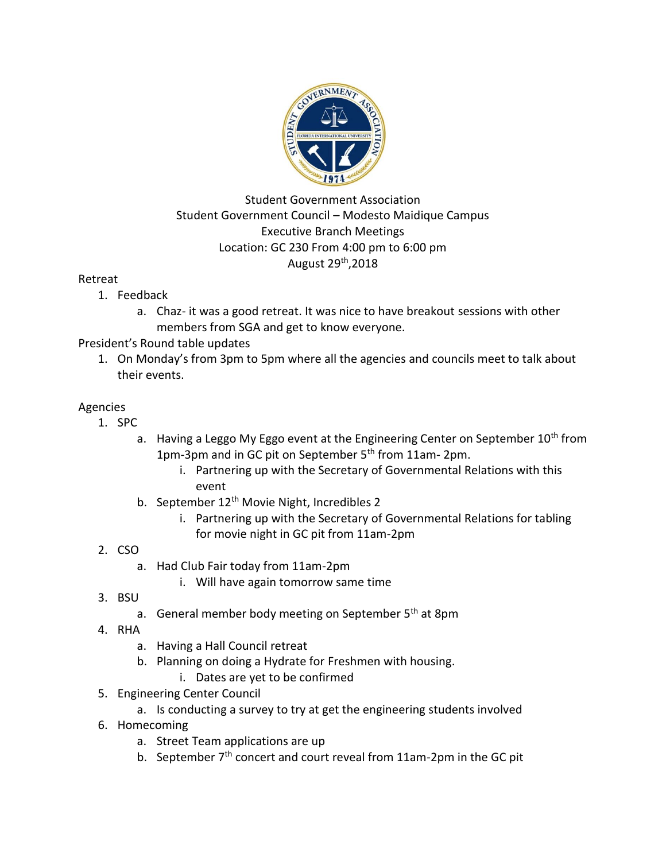

### Student Government Association Student Government Council – Modesto Maidique Campus Executive Branch Meetings Location: GC 230 From 4:00 pm to 6:00 pm August 29th,2018

#### Retreat

- 1. Feedback
	- a. Chaz- it was a good retreat. It was nice to have breakout sessions with other members from SGA and get to know everyone.

# President's Round table updates

1. On Monday's from 3pm to 5pm where all the agencies and councils meet to talk about their events.

# Agencies

- 1. SPC
	- a. Having a Leggo My Eggo event at the Engineering Center on September 10<sup>th</sup> from 1pm-3pm and in GC pit on September 5<sup>th</sup> from 11am-2pm.
		- i. Partnering up with the Secretary of Governmental Relations with this event
	- b. September 12<sup>th</sup> Movie Night, Incredibles 2
		- i. Partnering up with the Secretary of Governmental Relations for tabling for movie night in GC pit from 11am-2pm
- 2. CSO
	- a. Had Club Fair today from 11am-2pm
		- i. Will have again tomorrow same time
- 3. BSU
	- a. General member body meeting on September 5<sup>th</sup> at 8pm
- 4. RHA
	- a. Having a Hall Council retreat
	- b. Planning on doing a Hydrate for Freshmen with housing.
		- i. Dates are yet to be confirmed
- 5. Engineering Center Council
	- a. Is conducting a survey to try at get the engineering students involved
- 6. Homecoming
	- a. Street Team applications are up
	- b. September 7<sup>th</sup> concert and court reveal from 11am-2pm in the GC pit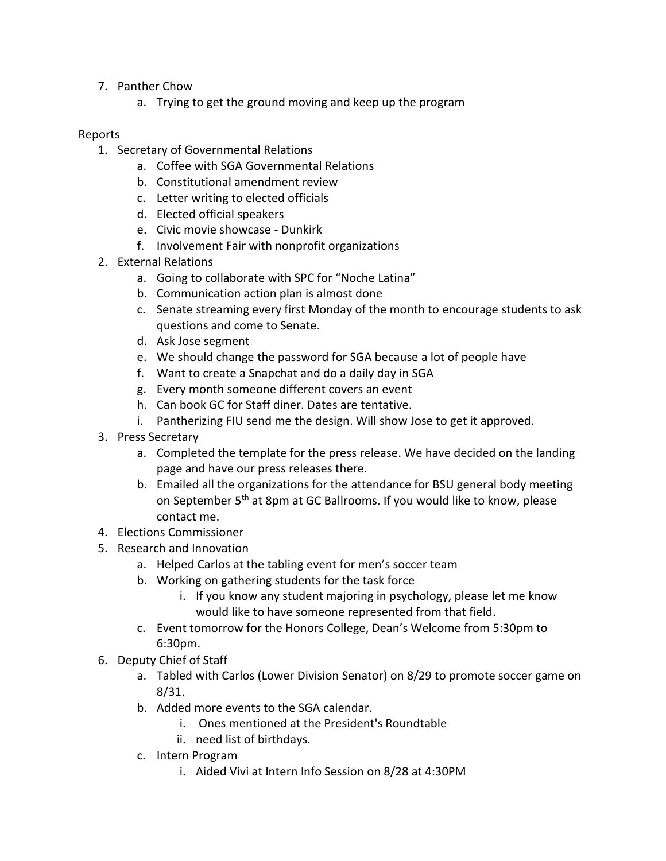- 7. Panther Chow
	- a. Trying to get the ground moving and keep up the program

#### Reports

- 1. Secretary of Governmental Relations
	- a. Coffee with SGA Governmental Relations
	- b. Constitutional amendment review
	- c. Letter writing to elected officials
	- d. Elected official speakers
	- e. Civic movie showcase Dunkirk
	- f. Involvement Fair with nonprofit organizations
- 2. External Relations
	- a. Going to collaborate with SPC for "Noche Latina"
	- b. Communication action plan is almost done
	- c. Senate streaming every first Monday of the month to encourage students to ask questions and come to Senate.
	- d. Ask Jose segment
	- e. We should change the password for SGA because a lot of people have
	- f. Want to create a Snapchat and do a daily day in SGA
	- g. Every month someone different covers an event
	- h. Can book GC for Staff diner. Dates are tentative.
	- i. Pantherizing FIU send me the design. Will show Jose to get it approved.
- 3. Press Secretary
	- a. Completed the template for the press release. We have decided on the landing page and have our press releases there.
	- b. Emailed all the organizations for the attendance for BSU general body meeting on September 5<sup>th</sup> at 8pm at GC Ballrooms. If you would like to know, please contact me.
- 4. Elections Commissioner
- 5. Research and Innovation
	- a. Helped Carlos at the tabling event for men's soccer team
	- b. Working on gathering students for the task force
		- i. If you know any student majoring in psychology, please let me know would like to have someone represented from that field.
	- c. Event tomorrow for the Honors College, Dean's Welcome from 5:30pm to 6:30pm.
- 6. Deputy Chief of Staff
	- a. Tabled with Carlos (Lower Division Senator) on 8/29 to promote soccer game on 8/31.
	- b. Added more events to the SGA calendar.
		- i. Ones mentioned at the President's Roundtable
		- ii. need list of birthdays.
	- c. Intern Program
		- i. Aided Vivi at Intern Info Session on 8/28 at 4:30PM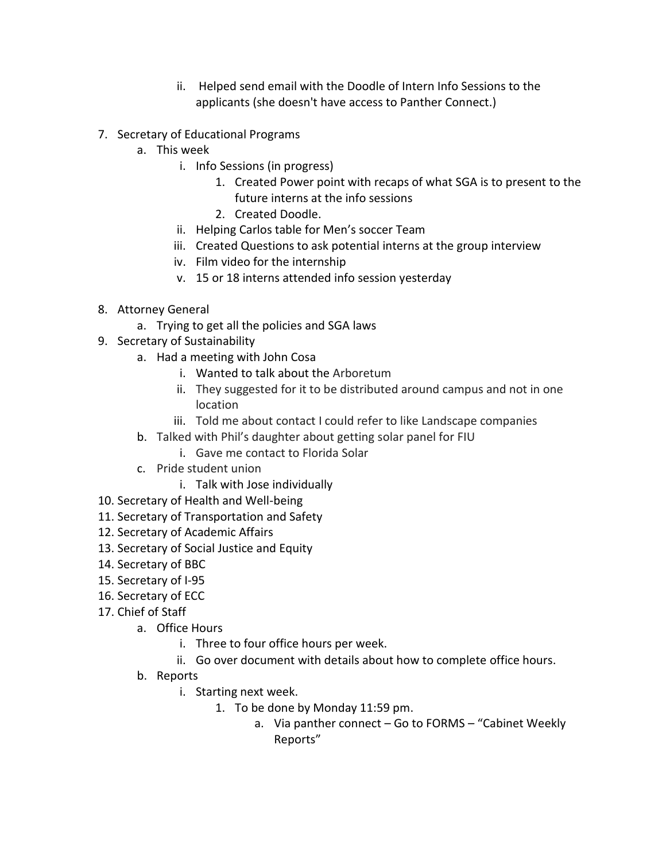- ii. Helped send email with the Doodle of Intern Info Sessions to the applicants (she doesn't have access to Panther Connect.)
- 7. Secretary of Educational Programs
	- a. This week
		- i. Info Sessions (in progress)
			- 1. Created Power point with recaps of what SGA is to present to the future interns at the info sessions
			- 2. Created Doodle.
		- ii. Helping Carlos table for Men's soccer Team
		- iii. Created Questions to ask potential interns at the group interview
		- iv. Film video for the internship
		- v. 15 or 18 interns attended info session yesterday
- 8. Attorney General
	- a. Trying to get all the policies and SGA laws
- 9. Secretary of Sustainability
	- a. Had a meeting with John Cosa
		- i. Wanted to talk about the Arboretum
		- ii. They suggested for it to be distributed around campus and not in one location
		- iii. Told me about contact I could refer to like Landscape companies
	- b. Talked with Phil's daughter about getting solar panel for FIU
		- i. Gave me contact to Florida Solar
	- c. Pride student union
		- i. Talk with Jose individually
- 10. Secretary of Health and Well-being
- 11. Secretary of Transportation and Safety
- 12. Secretary of Academic Affairs
- 13. Secretary of Social Justice and Equity
- 14. Secretary of BBC
- 15. Secretary of I-95
- 16. Secretary of ECC
- 17. Chief of Staff
	- a. Office Hours
		- i. Three to four office hours per week.
		- ii. Go over document with details about how to complete office hours.
	- b. Reports
		- i. Starting next week.
			- 1. To be done by Monday 11:59 pm.
				- a. Via panther connect Go to FORMS "Cabinet Weekly Reports"